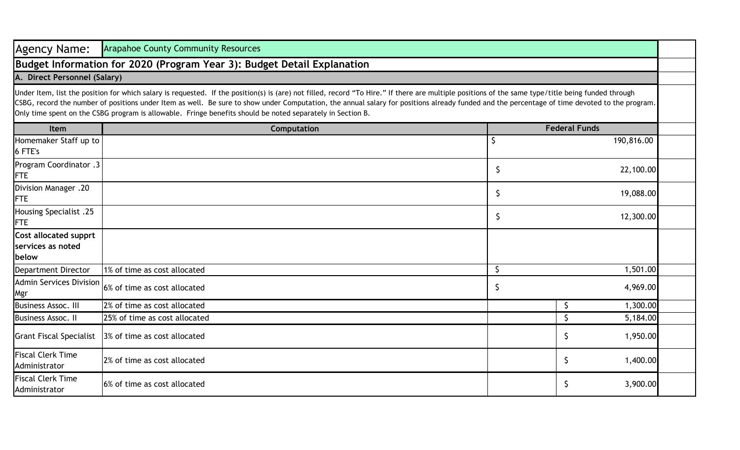| <b>Agency Name:</b>                                        | <b>Arapahoe County Community Resources</b>                                                                                                                                                                                                                                                                                                                                                                                                                                                                        |                      |                                   |  |
|------------------------------------------------------------|-------------------------------------------------------------------------------------------------------------------------------------------------------------------------------------------------------------------------------------------------------------------------------------------------------------------------------------------------------------------------------------------------------------------------------------------------------------------------------------------------------------------|----------------------|-----------------------------------|--|
|                                                            | Budget Information for 2020 (Program Year 3): Budget Detail Explanation                                                                                                                                                                                                                                                                                                                                                                                                                                           |                      |                                   |  |
| A. Direct Personnel (Salary)                               |                                                                                                                                                                                                                                                                                                                                                                                                                                                                                                                   |                      |                                   |  |
|                                                            | Under Item, list the position for which salary is requested. If the position(s) is (are) not filled, record "To Hire." If there are multiple positions of the same type/title being funded through<br>CSBG, record the number of positions under Item as well. Be sure to show under Computation, the annual salary for positions already funded and the percentage of time devoted to the program.<br>Only time spent on the CSBG program is allowable. Fringe benefits should be noted separately in Section B. |                      |                                   |  |
| <b>Item</b>                                                | Computation                                                                                                                                                                                                                                                                                                                                                                                                                                                                                                       | <b>Federal Funds</b> |                                   |  |
| Homemaker Staff up to<br>6 FTE's                           |                                                                                                                                                                                                                                                                                                                                                                                                                                                                                                                   |                      | 190,816.00                        |  |
| Program Coordinator .3<br><b>FTE</b>                       |                                                                                                                                                                                                                                                                                                                                                                                                                                                                                                                   | \$                   | 22,100.00                         |  |
| Division Manager .20<br><b>FTE</b>                         |                                                                                                                                                                                                                                                                                                                                                                                                                                                                                                                   | \$                   | 19,088.00                         |  |
| <b>Housing Specialist .25</b><br><b>FTE</b>                |                                                                                                                                                                                                                                                                                                                                                                                                                                                                                                                   | \$                   | 12,300.00                         |  |
| <b>Cost allocated supprt</b><br>services as noted<br>below |                                                                                                                                                                                                                                                                                                                                                                                                                                                                                                                   |                      |                                   |  |
| <b>Department Director</b>                                 | 1% of time as cost allocated                                                                                                                                                                                                                                                                                                                                                                                                                                                                                      | \$                   | 1,501.00                          |  |
| <b>Admin Services Division</b><br>Mgr                      | 6% of time as cost allocated                                                                                                                                                                                                                                                                                                                                                                                                                                                                                      | \$.                  | 4,969.00                          |  |
| <b>Business Assoc. III</b>                                 | 2% of time as cost allocated                                                                                                                                                                                                                                                                                                                                                                                                                                                                                      |                      | 1,300.00<br>\$                    |  |
| <b>Business Assoc. II</b>                                  | 25% of time as cost allocated                                                                                                                                                                                                                                                                                                                                                                                                                                                                                     |                      | $\mathsf{\mathsf{S}}$<br>5,184.00 |  |
| <b>Grant Fiscal Specialist</b>                             | 3% of time as cost allocated                                                                                                                                                                                                                                                                                                                                                                                                                                                                                      |                      | 1,950.00<br>\$                    |  |
| <b>Fiscal Clerk Time</b><br>Administrator                  | 2% of time as cost allocated                                                                                                                                                                                                                                                                                                                                                                                                                                                                                      |                      | \$<br>1,400.00                    |  |
| <b>Fiscal Clerk Time</b><br>Administrator                  | 6% of time as cost allocated                                                                                                                                                                                                                                                                                                                                                                                                                                                                                      |                      | 3,900.00<br>\$.                   |  |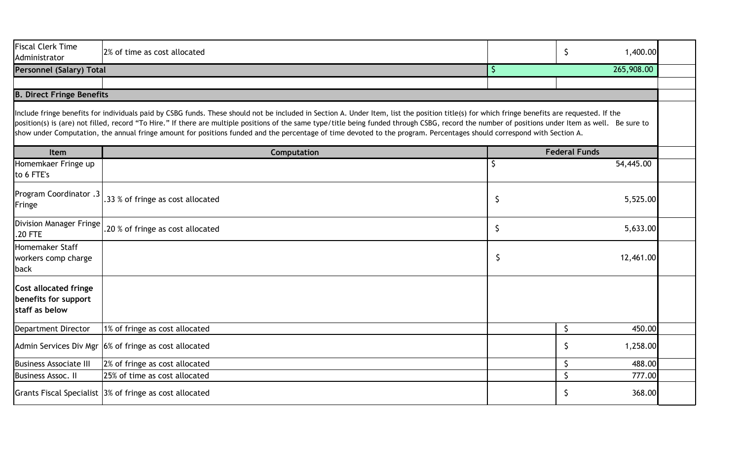| <b>Fiscal Clerk Time</b><br>Administrator                              | 2% of time as cost allocated                                                                                                                                                                                                                                                                                                                                                                                                                                                                                                                                                  |    | 1,400.00<br>\$       |
|------------------------------------------------------------------------|-------------------------------------------------------------------------------------------------------------------------------------------------------------------------------------------------------------------------------------------------------------------------------------------------------------------------------------------------------------------------------------------------------------------------------------------------------------------------------------------------------------------------------------------------------------------------------|----|----------------------|
| <b>Personnel (Salary) Total</b>                                        |                                                                                                                                                                                                                                                                                                                                                                                                                                                                                                                                                                               | \$ | 265,908.00           |
| <b>B. Direct Fringe Benefits</b>                                       |                                                                                                                                                                                                                                                                                                                                                                                                                                                                                                                                                                               |    |                      |
|                                                                        | Include fringe benefits for individuals paid by CSBG funds. These should not be included in Section A. Under Item, list the position title(s) for which fringe benefits are requested. If the<br>position(s) is (are) not filled, record "To Hire." If there are multiple positions of the same type/title being funded through CSBG, record the number of positions under Item as well. Be sure to<br>show under Computation, the annual fringe amount for positions funded and the percentage of time devoted to the program. Percentages should correspond with Section A. |    |                      |
| Item                                                                   | Computation                                                                                                                                                                                                                                                                                                                                                                                                                                                                                                                                                                   |    | <b>Federal Funds</b> |
| Homemkaer Fringe up<br>to 6 FTE's                                      |                                                                                                                                                                                                                                                                                                                                                                                                                                                                                                                                                                               | Ŝ  | 54,445.00            |
| Program Coordinator .3<br>Fringe                                       | .33 % of fringe as cost allocated                                                                                                                                                                                                                                                                                                                                                                                                                                                                                                                                             | \$ | 5,525.00             |
| Division Manager Fringe<br>.20 FTE                                     | .20 % of fringe as cost allocated                                                                                                                                                                                                                                                                                                                                                                                                                                                                                                                                             | \$ | 5,633.00             |
| Homemaker Staff<br>workers comp charge<br>back                         |                                                                                                                                                                                                                                                                                                                                                                                                                                                                                                                                                                               | \$ | 12,461.00            |
| <b>Cost allocated fringe</b><br>benefits for support<br>staff as below |                                                                                                                                                                                                                                                                                                                                                                                                                                                                                                                                                                               |    |                      |
| Department Director                                                    | 1% of fringe as cost allocated                                                                                                                                                                                                                                                                                                                                                                                                                                                                                                                                                |    | $\zeta$<br>450.00    |
|                                                                        | Admin Services Div Mgr 6% of fringe as cost allocated                                                                                                                                                                                                                                                                                                                                                                                                                                                                                                                         |    | \$<br>1,258.00       |
| <b>Business Associate III</b>                                          | 2% of fringe as cost allocated                                                                                                                                                                                                                                                                                                                                                                                                                                                                                                                                                |    | $\zeta$<br>488.00    |
| <b>Business Assoc. II</b>                                              | 25% of time as cost allocated                                                                                                                                                                                                                                                                                                                                                                                                                                                                                                                                                 |    | \$<br>777.00         |
|                                                                        | Grants Fiscal Specialist 3% of fringe as cost allocated                                                                                                                                                                                                                                                                                                                                                                                                                                                                                                                       |    | 368.00<br>\$         |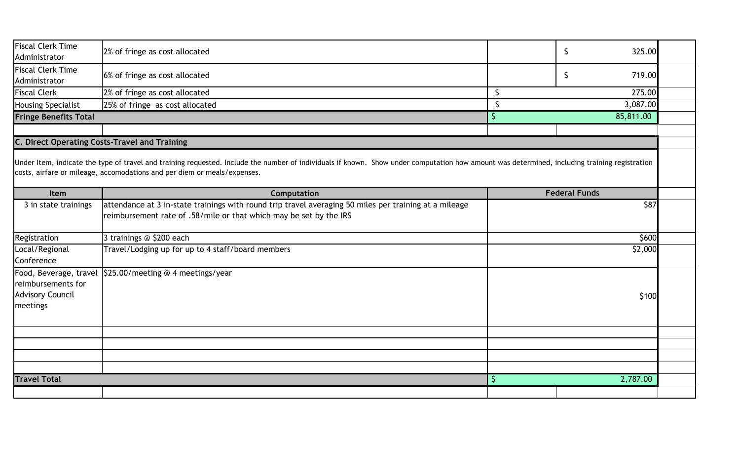| <b>Fiscal Clerk Time</b><br>Administrator | 2% of fringe as cost allocated                                                                                                                                                                                                                                            | \$<br>325.00   |                      |          |
|-------------------------------------------|---------------------------------------------------------------------------------------------------------------------------------------------------------------------------------------------------------------------------------------------------------------------------|----------------|----------------------|----------|
| <b>Fiscal Clerk Time</b><br>Administrator | 6% of fringe as cost allocated                                                                                                                                                                                                                                            | \$<br>719.00   |                      |          |
| <b>Fiscal Clerk</b>                       | 2% of fringe as cost allocated                                                                                                                                                                                                                                            | \$<br>275.00   |                      |          |
| Housing Specialist                        | 25% of fringe as cost allocated                                                                                                                                                                                                                                           | 3,087.00<br>\$ |                      |          |
| <b>Fringe Benefits Total</b>              |                                                                                                                                                                                                                                                                           | $\mathsf{S}$   | 85,811.00            |          |
|                                           | C. Direct Operating Costs-Travel and Training                                                                                                                                                                                                                             |                |                      |          |
|                                           | Under Item, indicate the type of travel and training requested. Include the number of individuals if known. Show under computation how amount was determined, including training registration<br>costs, airfare or mileage, accomodations and per diem or meals/expenses. |                |                      |          |
| Item                                      | Computation                                                                                                                                                                                                                                                               |                | <b>Federal Funds</b> | \$87     |
| 3 in state trainings                      | attendance at 3 in-state trainings with round trip travel averaging 50 miles per training at a mileage<br>reimbursement rate of .58/mile or that which may be set by the IRS                                                                                              |                |                      |          |
| Registration                              | 3 trainings @ \$200 each                                                                                                                                                                                                                                                  | \$600          |                      |          |
|                                           |                                                                                                                                                                                                                                                                           | \$2,000        |                      |          |
| Local/Regional<br>Conference              | Travel/Lodging up for up to 4 staff/board members                                                                                                                                                                                                                         |                |                      |          |
| reimbursements for                        | Food, Beverage, travel 525.00/meeting @ 4 meetings/year                                                                                                                                                                                                                   |                |                      |          |
| <b>Advisory Council</b><br>meetings       |                                                                                                                                                                                                                                                                           |                |                      | \$100    |
|                                           |                                                                                                                                                                                                                                                                           |                |                      |          |
|                                           |                                                                                                                                                                                                                                                                           |                |                      |          |
| <b>Travel Total</b>                       |                                                                                                                                                                                                                                                                           | $\zeta$        |                      | 2,787.00 |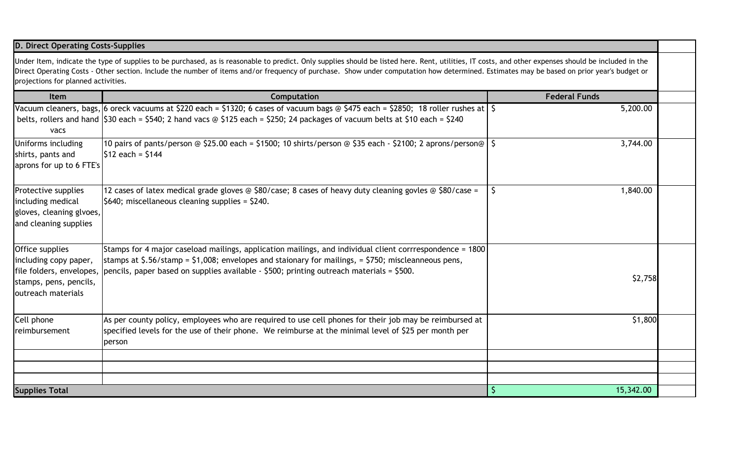## **D. Direct Operating Costs-Supplies**

Under Item, indicate the type of supplies to be purchased, as is reasonable to predict. Only supplies should be listed here. Rent, utilities, IT costs, and other expenses should be included in the Direct Operating Costs - Other section. Include the number of items and/or frequency of purchase. Show under computation how determined. Estimates may be based on prior year's budget or projections for planned activities.

| <b>Item</b>                                                                                   | Computation                                                                                                                                                                                                                                                                                                                          | <b>Federal Funds</b> |  |
|-----------------------------------------------------------------------------------------------|--------------------------------------------------------------------------------------------------------------------------------------------------------------------------------------------------------------------------------------------------------------------------------------------------------------------------------------|----------------------|--|
| vacs                                                                                          | Vacuum cleaners, bags, 6 oreck vacuums at \$220 each = \$1320; 6 cases of vacuum bags @ \$475 each = \$2850; 18 roller rushes at   \$<br>belts, rollers and hand $\frac{530}{9}$ each = \$540; 2 hand vacs @ \$125 each = \$250; 24 packages of vacuum belts at \$10 each = \$240                                                    | 5,200.00             |  |
| Uniforms including<br>shirts, pants and<br>aprons for up to 6 FTE's                           | 10 pairs of pants/person @ \$25.00 each = \$1500; 10 shirts/person @ \$35 each - \$2100; 2 aprons/person@   \$<br>$ $12$ each = $$144$                                                                                                                                                                                               | 3,744.00             |  |
| Protective supplies<br>including medical<br>gloves, cleaning glvoes,<br>and cleaning supplies | 12 cases of latex medical grade gloves $\circledcirc$ \$80/case; 8 cases of heavy duty cleaning govles $\circledcirc$ \$80/case =<br>$\frac{1}{2}$ \$640; miscellaneous cleaning supplies = \$240.                                                                                                                                   | 1,840.00             |  |
| Office supplies<br>including copy paper,<br>stamps, pens, pencils,<br>outreach materials      | Stamps for 4 major caseload mailings, application mailings, and individual client corrrespondence = 1800<br>stamps at \$.56/stamp = \$1,008; envelopes and staionary for mailings, = \$750; miscleanneous pens,<br>file folders, envelopes, pencils, paper based on supplies available - \$500; printing outreach materials = \$500. | \$2,758              |  |
| Cell phone<br>reimbursement                                                                   | As per county policy, employees who are required to use cell phones for their job may be reimbursed at<br>specified levels for the use of their phone. We reimburse at the minimal level of \$25 per month per<br>person                                                                                                             | \$1,800              |  |
|                                                                                               |                                                                                                                                                                                                                                                                                                                                      |                      |  |
| <b>Supplies Total</b>                                                                         |                                                                                                                                                                                                                                                                                                                                      | 15,342.00            |  |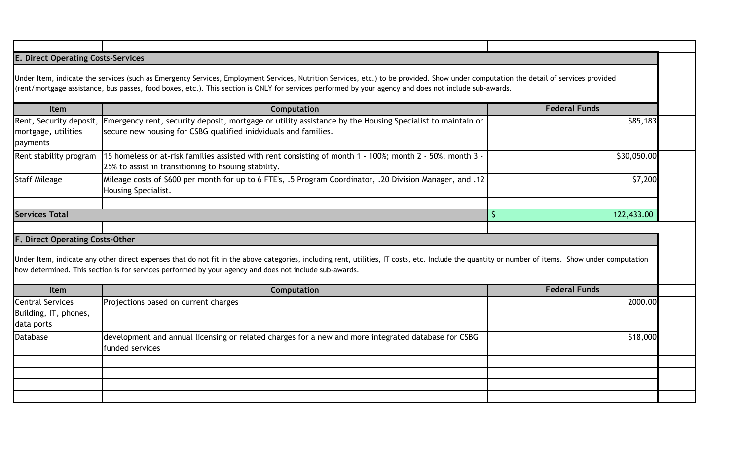## **Item Computation** Rent, Security deposit, |Emergency rent, security deposit, mortgage or utility assistance by the Housing Specialist to maintain or mortgage, utilities payments secure new housing for CSBG qualified inidviduals and families. Rent stability program 15 homeless or at-risk families assisted with rent consisting of month 1 - 100%; month 2 - 50%; month 3 -25% to assist in transitioning to hsouing stability. Staff Mileage Mileage costs of \$600 per month for up to 6 FTE's, .5 Program Coordinator, .20 Division Manager, and .12 Housing Specialist. **Item Computation** Central Services Building, IT, phones, data ports Projections based on current charges Database development and annual licensing or related charges for a new and more integrated database for CSBG funded services **Services Total** \$ 122,433.00 2000.00 \$18,000 **E. Direct Operating Costs-Services** Under Item, indicate the services (such as Emergency Services, Employment Services, Nutrition Services, etc.) to be provided. Show under computation the detail of services provided (rent/mortgage assistance, bus passes, food boxes, etc.). This section is ONLY for services performed by your agency and does not include sub-awards. **Federal Funds** \$85,183 \$30,050.00 \$7,200 **F. Direct Operating Costs-Other** Under Item, indicate any other direct expenses that do not fit in the above categories, including rent, utilities, IT costs, etc. Include the quantity or number of items. Show under computation how determined. This section is for services performed by your agency and does not include sub-awards. **Federal Funds**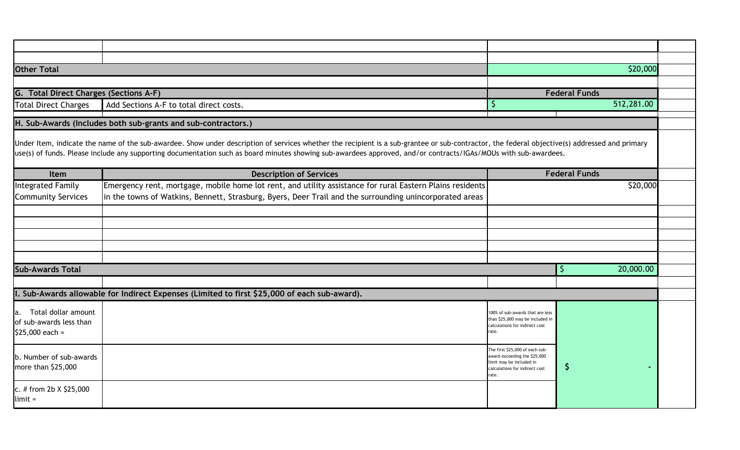| <b>Other Total</b>                                                    |                                                                                                                                                                                                                                                                                                                                                                  |                                                                                                                                        | \$20,000             |  |  |  |
|-----------------------------------------------------------------------|------------------------------------------------------------------------------------------------------------------------------------------------------------------------------------------------------------------------------------------------------------------------------------------------------------------------------------------------------------------|----------------------------------------------------------------------------------------------------------------------------------------|----------------------|--|--|--|
|                                                                       |                                                                                                                                                                                                                                                                                                                                                                  |                                                                                                                                        |                      |  |  |  |
| <b>Total Direct Charges (Sections A-F)</b><br>G.                      |                                                                                                                                                                                                                                                                                                                                                                  |                                                                                                                                        | <b>Federal Funds</b> |  |  |  |
| <b>Total Direct Charges</b>                                           | Add Sections A-F to total direct costs.                                                                                                                                                                                                                                                                                                                          | S                                                                                                                                      | 512,281.00           |  |  |  |
|                                                                       | H. Sub-Awards (Includes both sub-grants and sub-contractors.)                                                                                                                                                                                                                                                                                                    |                                                                                                                                        |                      |  |  |  |
|                                                                       | Under Item, indicate the name of the sub-awardee. Show under description of services whether the recipient is a sub-grantee or sub-contractor, the federal objective(s) addressed and primary<br>use(s) of funds. Please include any supporting documentation such as board minutes showing sub-awardees approved, and/or contracts/IGAs/MOUs with sub-awardees. |                                                                                                                                        |                      |  |  |  |
| Item                                                                  | <b>Description of Services</b>                                                                                                                                                                                                                                                                                                                                   |                                                                                                                                        | <b>Federal Funds</b> |  |  |  |
| <b>Integrated Family</b><br><b>Community Services</b>                 | Emergency rent, mortgage, mobile home lot rent, and utility assistance for rural Eastern Plains residents<br>in the towns of Watkins, Bennett, Strasburg, Byers, Deer Trail and the surrounding unincorporated areas                                                                                                                                             |                                                                                                                                        | \$20,000             |  |  |  |
|                                                                       |                                                                                                                                                                                                                                                                                                                                                                  |                                                                                                                                        |                      |  |  |  |
|                                                                       |                                                                                                                                                                                                                                                                                                                                                                  |                                                                                                                                        |                      |  |  |  |
|                                                                       |                                                                                                                                                                                                                                                                                                                                                                  |                                                                                                                                        |                      |  |  |  |
|                                                                       |                                                                                                                                                                                                                                                                                                                                                                  |                                                                                                                                        |                      |  |  |  |
| <b>Sub-Awards Total</b>                                               |                                                                                                                                                                                                                                                                                                                                                                  |                                                                                                                                        | 20,000.00<br>\$.     |  |  |  |
|                                                                       |                                                                                                                                                                                                                                                                                                                                                                  |                                                                                                                                        |                      |  |  |  |
|                                                                       | I. Sub-Awards allowable for Indirect Expenses (Limited to first \$25,000 of each sub-award).                                                                                                                                                                                                                                                                     |                                                                                                                                        |                      |  |  |  |
| a. Total dollar amount<br>of sub-awards less than<br>$$25,000$ each = |                                                                                                                                                                                                                                                                                                                                                                  | 100% of sub-awards that are less<br>than \$25,000 may be included in<br>calculations for indirect cost<br>rate.                        |                      |  |  |  |
| b. Number of sub-awards<br>more than \$25,000                         |                                                                                                                                                                                                                                                                                                                                                                  | The first \$25,000 of each sub-<br>award exceeding the \$25,000<br>limit may be included in<br>calculations for indirect cost<br>rate. | -Ş                   |  |  |  |
| c. # from 2b $X$ \$25,000<br>$limit =$                                |                                                                                                                                                                                                                                                                                                                                                                  |                                                                                                                                        |                      |  |  |  |